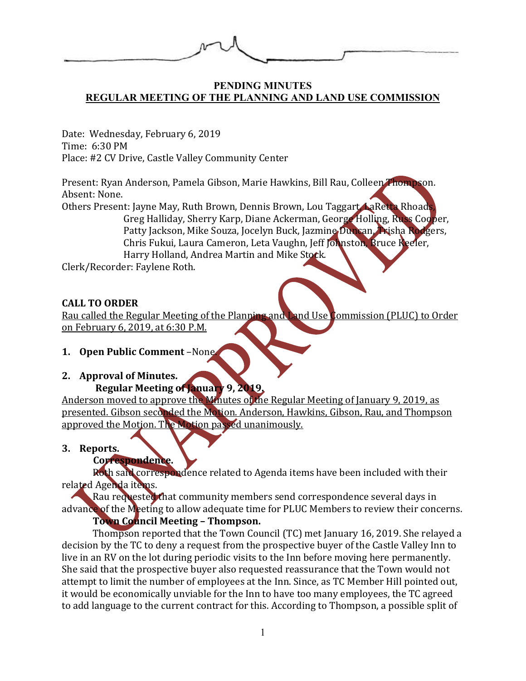#### **PENDING MINUTES REGULAR MEETING OF THE PLANNING AND LAND USE COMMISSION**

Date: Wednesday, February 6, 2019 Time: 6:30 PM Place: #2 CV Drive, Castle Valley Community Center

Present: Ryan Anderson, Pamela Gibson, Marie Hawkins, Bill Rau, Colleen Thompson. Absent: None.

Others Present: Jayne May, Ruth Brown, Dennis Brown, Lou Taggart, LaRetta Rhoads Greg Halliday, Sherry Karp, Diane Ackerman, George Holling, Russ Cooper, Patty Jackson, Mike Souza, Jocelyn Buck, Jazmine Duncan, Trisha Rodgers, Chris Fukui, Laura Cameron, Leta Vaughn, Jeff Johnston, Bruce Keeler, Harry Holland, Andrea Martin and Mike Stock.

Clerk/Recorder: Faylene Roth.

## **CALL TO ORDER**

Rau called the Regular Meeting of the Planning and Land Use Commission (PLUC) to Order on February 6, 2019, at 6:30 P.M.

# **1. Open Public Comment** –None.

# **2. Approval of Minutes.**

# **Regular Meeting of January 9, 2019.**

Anderson moved to approve the Minutes of the Regular Meeting of January 9, 2019, as presented. Gibson seconded the Motion. Anderson, Hawkins, Gibson, Rau, and Thompson approved the Motion. The Motion passed unanimously.

## **3. Reports.**

# **Correspondence.**

Roth said correspondence related to Agenda items have been included with their related Agenda items.

Rau requested that community members send correspondence several days in advance of the Meeting to allow adequate time for PLUC Members to review their concerns. **Town Council Meeting – Thompson.**

# Thompson reported that the Town Council (TC) met January 16, 2019. She relayed a decision by the TC to deny a request from the prospective buyer of the Castle Valley Inn to live in an RV on the lot during periodic visits to the Inn before moving here permanently. She said that the prospective buyer also requested reassurance that the Town would not attempt to limit the number of employees at the Inn. Since, as TC Member Hill pointed out, it would be economically unviable for the Inn to have too many employees, the TC agreed to add language to the current contract for this. According to Thompson, a possible split of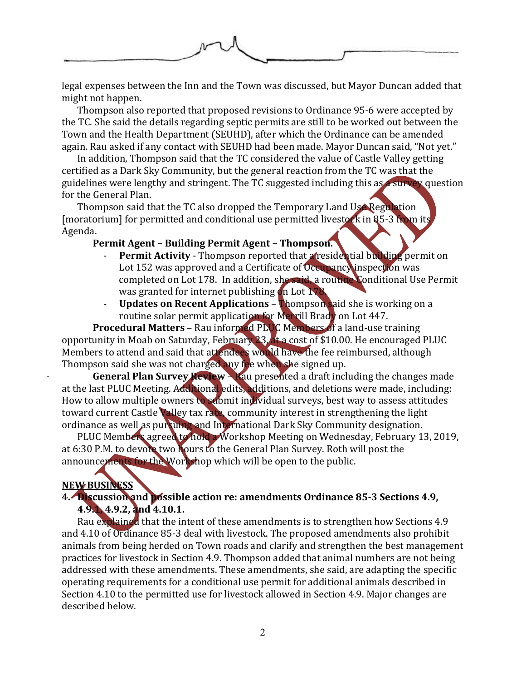

legal expenses between the Inn and the Town was discussed, but Mayor Duncan added that might not happen.

Thompson also reported that proposed revisions to Ordinance 95-6 were accepted by the TC. She said the details regarding septic permits are still to be worked out between the Town and the Health Department (SEUHD), after which the Ordinance can be amended again. Rau asked if any contact with SEUHD had been made. Mayor Duncan said, "Not yet."

In addition, Thompson said that the TC considered the value of Castle Valley getting certified as a Dark Sky Community, but the general reaction from the TC was that the guidelines were lengthy and stringent. The TC suggested including this as a survey question for the General Plan.

Thompson said that the TC also dropped the Temporary Land Use Regulation [moratorium] for permitted and conditional use permitted livestock in 85-3 from its Agenda.

### **Permit Agent – Building Permit Agent – Thompson.**

- **Permit Activity** Thompson reported that a residential building permit on Lot 152 was approved and a Certificate of Occupancy inspection was completed on Lot 178. In addition, she said, a routine Conditional Use Permit was granted for internet publishing on Lot  $178$ .
- **Updates on Recent Applications Thompson said she is working on a** routine solar permit application for Merrill Brady on Lot 447.

**Procedural Matters** – Rau informed PLUC Members of a land-use training opportunity in Moab on Saturday, February 23, at a cost of \$10.00. He encouraged PLUC Members to attend and said that attendees would have the fee reimbursed, although Thompson said she was not charged any fee when she signed up.

- **General Plan Survey Review** – Rau presented a draft including the changes made at the last PLUC Meeting. Additional edits, additions, and deletions were made, including: How to allow multiple owners to submit individual surveys, best way to assess attitudes toward current Castle Valley tax rate, community interest in strengthening the light ordinance as well as pursuing and International Dark Sky Community designation.

PLUC Members agreed to hold a Workshop Meeting on Wednesday, February 13, 2019, at 6:30 P.M. to devote two hours to the General Plan Survey. Roth will post the announcements for the Workshop which will be open to the public.

## **NEW BUSINESS**

## **4. Discussion and possible action re: amendments Ordinance 85-3 Sections 4.9, 4.9.1, 4.9.2, and 4.10.1.**

Rau explained that the intent of these amendments is to strengthen how Sections 4.9 and 4.10 of Ordinance 85-3 deal with livestock. The proposed amendments also prohibit animals from being herded on Town roads and clarify and strengthen the best management practices for livestock in Section 4.9. Thompson added that animal numbers are not being addressed with these amendments. These amendments, she said, are adapting the specific operating requirements for a conditional use permit for additional animals described in Section 4.10 to the permitted use for livestock allowed in Section 4.9. Major changes are described below.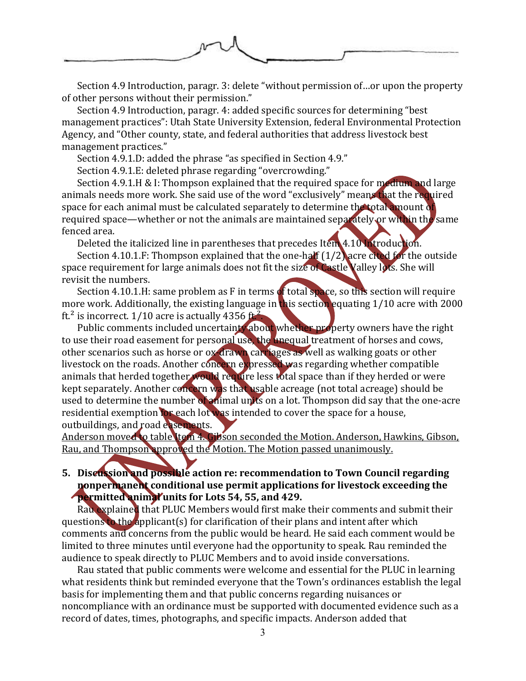

Section 4.9 Introduction, paragr. 3: delete "without permission of…or upon the property of other persons without their permission."

Section 4.9 Introduction, paragr. 4: added specific sources for determining "best management practices": Utah State University Extension, federal Environmental Protection Agency, and "Other county, state, and federal authorities that address livestock best management practices."

Section 4.9.1.D: added the phrase "as specified in Section 4.9."

Section 4.9.1.E: deleted phrase regarding "overcrowding."

Section 4.9.1.H & I: Thompson explained that the required space for medium and large animals needs more work. She said use of the word "exclusively" means that the required space for each animal must be calculated separately to determine the total amount of required space—whether or not the animals are maintained separately or within the same fenced area.

Deleted the italicized line in parentheses that precedes Item 4.10 Introduction.

Section 4.10.1.F: Thompson explained that the one-half (1/2) acre cited for the outside space requirement for large animals does not fit the size of Castle Valley lots. She will revisit the numbers.

Section 4.10.1.H: same problem as F in terms of total space, so this section will require more work. Additionally, the existing language in this section equating 1/10 acre with 2000 ft.<sup>2</sup> is incorrect.  $1/10$  acre is actually 4356 ft.<sup>2</sup>.

Public comments included uncertainty about whether property owners have the right to use their road easement for personal use, the unequal treatment of horses and cows, other scenarios such as horse or ox-drawn carriages as well as walking goats or other livestock on the roads. Another concern expressed was regarding whether compatible animals that herded together would require less total space than if they herded or were kept separately. Another concern was that usable acreage (not total acreage) should be used to determine the number of animal units on a lot. Thompson did say that the one-acre residential exemption for each lot was intended to cover the space for a house, outbuildings, and road easements.

Anderson moved to table Item 4. Gibson seconded the Motion. Anderson, Hawkins, Gibson, Rau, and Thompson approved the Motion. The Motion passed unanimously.

**5. Discussion and possible action re: recommendation to Town Council regarding nonpermanent conditional use permit applications for livestock exceeding the permitted animal units for Lots 54, 55, and 429.**

Rau explained that PLUC Members would first make their comments and submit their questions to the applicant(s) for clarification of their plans and intent after which comments and concerns from the public would be heard. He said each comment would be limited to three minutes until everyone had the opportunity to speak. Rau reminded the audience to speak directly to PLUC Members and to avoid inside conversations.

Rau stated that public comments were welcome and essential for the PLUC in learning what residents think but reminded everyone that the Town's ordinances establish the legal basis for implementing them and that public concerns regarding nuisances or noncompliance with an ordinance must be supported with documented evidence such as a record of dates, times, photographs, and specific impacts. Anderson added that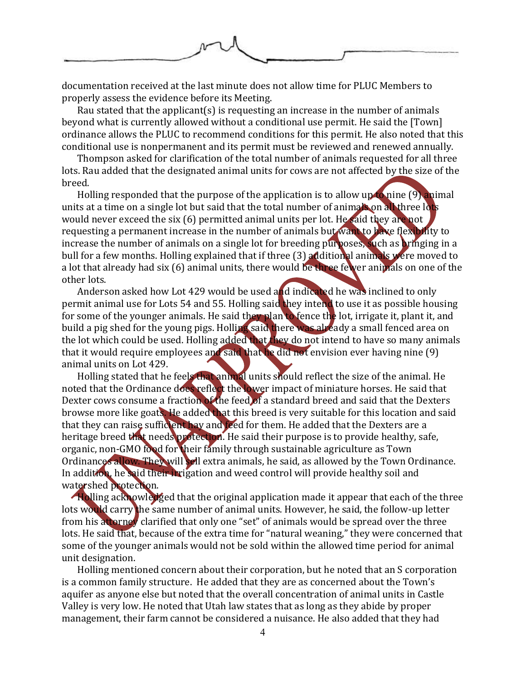

documentation received at the last minute does not allow time for PLUC Members to properly assess the evidence before its Meeting.

Rau stated that the applicant(s) is requesting an increase in the number of animals beyond what is currently allowed without a conditional use permit. He said the [Town] ordinance allows the PLUC to recommend conditions for this permit. He also noted that this conditional use is nonpermanent and its permit must be reviewed and renewed annually.

Thompson asked for clarification of the total number of animals requested for all three lots. Rau added that the designated animal units for cows are not affected by the size of the breed.

Holling responded that the purpose of the application is to allow up to nine  $(9)$  animal units at a time on a single lot but said that the total number of animals on all three lots would never exceed the six (6) permitted animal units per lot. He said they are not requesting a permanent increase in the number of animals but want to have flexibility to increase the number of animals on a single lot for breeding purposes, such as bringing in a bull for a few months. Holling explained that if three (3) additional animals were moved to a lot that already had six (6) animal units, there would be three fewer animals on one of the other lots.

Anderson asked how Lot 429 would be used and indicated he was inclined to only permit animal use for Lots 54 and 55. Holling said they intend to use it as possible housing for some of the younger animals. He said they plan to fence the lot, irrigate it, plant it, and build a pig shed for the young pigs. Holling said there was already a small fenced area on the lot which could be used. Holling added that they do not intend to have so many animals that it would require employees and said that he did not envision ever having nine (9) animal units on Lot 429.

Holling stated that he feels that animal units should reflect the size of the animal. He noted that the Ordinance does reflect the lower impact of miniature horses. He said that Dexter cows consume a fraction of the feed of a standard breed and said that the Dexters browse more like goats. He added that this breed is very suitable for this location and said that they can raise sufficient hay and feed for them. He added that the Dexters are a heritage breed that needs protection. He said their purpose is to provide healthy, safe, organic, non-GMO food for their family through sustainable agriculture as Town Ordinances allow. They will sell extra animals, he said, as allowed by the Town Ordinance. In addition, he said their irrigation and weed control will provide healthy soil and watershed protection.

Holling acknowledged that the original application made it appear that each of the three lots would carry the same number of animal units. However, he said, the follow-up letter from his attorney clarified that only one "set" of animals would be spread over the three lots. He said that, because of the extra time for "natural weaning," they were concerned that some of the younger animals would not be sold within the allowed time period for animal unit designation.

Holling mentioned concern about their corporation, but he noted that an S corporation is a common family structure. He added that they are as concerned about the Town's aquifer as anyone else but noted that the overall concentration of animal units in Castle Valley is very low. He noted that Utah law states that as long as they abide by proper management, their farm cannot be considered a nuisance. He also added that they had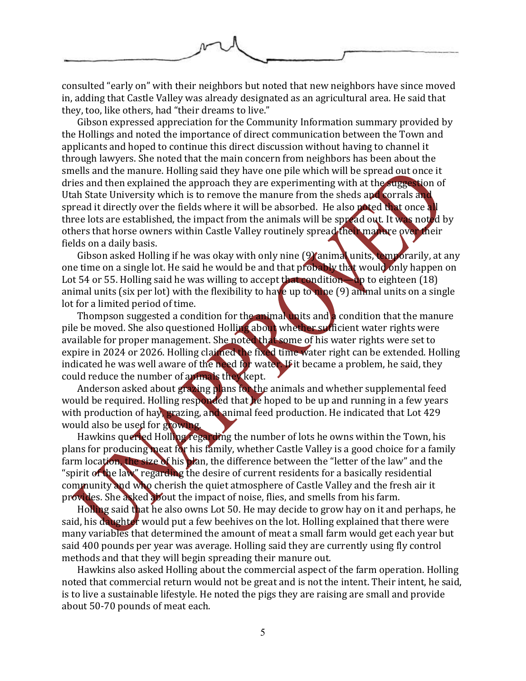

consulted "early on" with their neighbors but noted that new neighbors have since moved in, adding that Castle Valley was already designated as an agricultural area. He said that they, too, like others, had "their dreams to live."

Gibson expressed appreciation for the Community Information summary provided by the Hollings and noted the importance of direct communication between the Town and applicants and hoped to continue this direct discussion without having to channel it through lawyers. She noted that the main concern from neighbors has been about the smells and the manure. Holling said they have one pile which will be spread out once it dries and then explained the approach they are experimenting with at the suggestion of Utah State University which is to remove the manure from the sheds and corrals and spread it directly over the fields where it will be absorbed. He also noted that once all three lots are established, the impact from the animals will be spread out. It was noted by others that horse owners within Castle Valley routinely spread their manure over their fields on a daily basis.

Gibson asked Holling if he was okay with only nine (9) animal units, temporarily, at any one time on a single lot. He said he would be and that probably that would only happen on Lot 54 or 55. Holling said he was willing to accept that condition—up to eighteen (18) animal units (six per lot) with the flexibility to have up to nine  $(9)$  animal units on a single lot for a limited period of time.

Thompson suggested a condition for the animal units and a condition that the manure pile be moved. She also questioned Holling about whether sufficient water rights were available for proper management. She noted that some of his water rights were set to expire in 2024 or 2026. Holling claimed the fixed time water right can be extended. Holling indicated he was well aware of the need for water. If it became a problem, he said, they could reduce the number of animals they kept.

Anderson asked about grazing plans for the animals and whether supplemental feed would be required. Holling responded that he hoped to be up and running in a few years with production of hay, grazing, and animal feed production. He indicated that Lot 429 would also be used for growing.

Hawkins queried Holling regarding the number of lots he owns within the Town, his plans for producing meat for his family, whether Castle Valley is a good choice for a family farm location, the size of his plan, the difference between the "letter of the law" and the "spirit of the law" regarding the desire of current residents for a basically residential community and who cherish the quiet atmosphere of Castle Valley and the fresh air it provides. She asked about the impact of noise, flies, and smells from his farm.

Holling said that he also owns Lot 50. He may decide to grow hay on it and perhaps, he said, his daughter would put a few beehives on the lot. Holling explained that there were many variables that determined the amount of meat a small farm would get each year but said 400 pounds per year was average. Holling said they are currently using fly control methods and that they will begin spreading their manure out.

Hawkins also asked Holling about the commercial aspect of the farm operation. Holling noted that commercial return would not be great and is not the intent. Their intent, he said, is to live a sustainable lifestyle. He noted the pigs they are raising are small and provide about 50-70 pounds of meat each.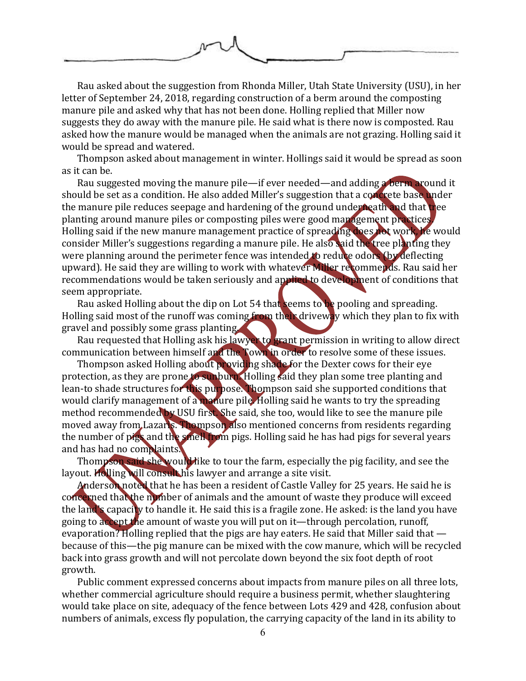

Rau asked about the suggestion from Rhonda Miller, Utah State University (USU), in her letter of September 24, 2018, regarding construction of a berm around the composting manure pile and asked why that has not been done. Holling replied that Miller now suggests they do away with the manure pile. He said what is there now is composted. Rau asked how the manure would be managed when the animals are not grazing. Holling said it would be spread and watered.

Thompson asked about management in winter. Hollings said it would be spread as soon as it can be.

Rau suggested moving the manure pile—if ever needed—and adding a berm around it should be set as a condition. He also added Miller's suggestion that a concrete base under the manure pile reduces seepage and hardening of the ground underneath and that tree planting around manure piles or composting piles were good management practices. Holling said if the new manure management practice of spreading does not work, he would consider Miller's suggestions regarding a manure pile. He also said the tree planting they were planning around the perimeter fence was intended to reduce odors (by deflecting upward). He said they are willing to work with whatever Miller recommends. Rau said her recommendations would be taken seriously and applied to development of conditions that seem appropriate.

Rau asked Holling about the dip on Lot 54 that seems to be pooling and spreading. Holling said most of the runoff was coming from their driveway which they plan to fix with gravel and possibly some grass planting.

Rau requested that Holling ask his lawyer to grant permission in writing to allow direct communication between himself and the Town in order to resolve some of these issues.

Thompson asked Holling about providing shade for the Dexter cows for their eye protection, as they are prone to sunburn. Holling said they plan some tree planting and lean-to shade structures for this purpose. Thompson said she supported conditions that would clarify management of a manure pile. Holling said he wants to try the spreading method recommended by USU first. She said, she too, would like to see the manure pile moved away from Lazaris. Thompson also mentioned concerns from residents regarding the number of pigs and the smell from pigs. Holling said he has had pigs for several years and has had no complaints.

Thompson said she would like to tour the farm, especially the pig facility, and see the layout. Holling will consult his lawyer and arrange a site visit.

Anderson noted that he has been a resident of Castle Valley for 25 years. He said he is concerned that the number of animals and the amount of waste they produce will exceed the land's capacity to handle it. He said this is a fragile zone. He asked: is the land you have going to accept the amount of waste you will put on it—through percolation, runoff, evaporation? Holling replied that the pigs are hay eaters. He said that Miller said that because of this—the pig manure can be mixed with the cow manure, which will be recycled back into grass growth and will not percolate down beyond the six foot depth of root growth.

Public comment expressed concerns about impacts from manure piles on all three lots, whether commercial agriculture should require a business permit, whether slaughtering would take place on site, adequacy of the fence between Lots 429 and 428, confusion about numbers of animals, excess fly population, the carrying capacity of the land in its ability to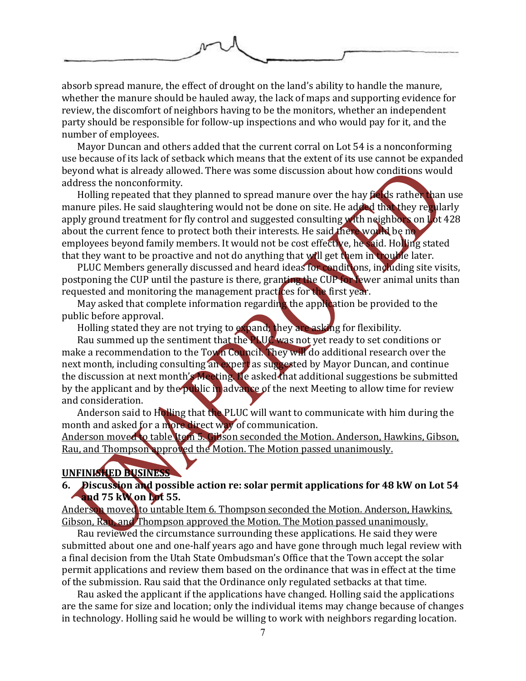

absorb spread manure, the effect of drought on the land's ability to handle the manure, whether the manure should be hauled away, the lack of maps and supporting evidence for review, the discomfort of neighbors having to be the monitors, whether an independent party should be responsible for follow-up inspections and who would pay for it, and the number of employees.

Mayor Duncan and others added that the current corral on Lot 54 is a nonconforming use because of its lack of setback which means that the extent of its use cannot be expanded beyond what is already allowed. There was some discussion about how conditions would address the nonconformity.

Holling repeated that they planned to spread manure over the hay fields rather than use manure piles. He said slaughtering would not be done on site. He added that they regularly apply ground treatment for fly control and suggested consulting with neighbors on Lot 428 about the current fence to protect both their interests. He said there would be no employees beyond family members. It would not be cost effective, he said. Holling stated that they want to be proactive and not do anything that will get them in trouble later.

PLUC Members generally discussed and heard ideas for conditions, including site visits, postponing the CUP until the pasture is there, granting the CUP for fewer animal units than requested and monitoring the management practices for the first year.

May asked that complete information regarding the application be provided to the public before approval.

Holling stated they are not trying to expand; they are asking for flexibility.

Rau summed up the sentiment that the PLUC was not yet ready to set conditions or make a recommendation to the Town Council. They will do additional research over the next month, including consulting an expert as suggested by Mayor Duncan, and continue the discussion at next month's Meeting. He asked that additional suggestions be submitted by the applicant and by the public in advance of the next Meeting to allow time for review and consideration.

Anderson said to Holling that the PLUC will want to communicate with him during the month and asked for a more direct way of communication.

Anderson moved to table Item 5. Gibson seconded the Motion. Anderson, Hawkins, Gibson, Rau, and Thompson approved the Motion. The Motion passed unanimously.

### **UNFINISHED BUSINESS**

### **6. Discussion and possible action re: solar permit applications for 48 kW on Lot 54 and 75 kW on Lot 55.**

Anderson moved to untable Item 6. Thompson seconded the Motion. Anderson, Hawkins, Gibson, Rau, and Thompson approved the Motion. The Motion passed unanimously.

Rau reviewed the circumstance surrounding these applications. He said they were submitted about one and one-half years ago and have gone through much legal review with a final decision from the Utah State Ombudsman's Office that the Town accept the solar permit applications and review them based on the ordinance that was in effect at the time of the submission. Rau said that the Ordinance only regulated setbacks at that time.

Rau asked the applicant if the applications have changed. Holling said the applications are the same for size and location; only the individual items may change because of changes in technology. Holling said he would be willing to work with neighbors regarding location.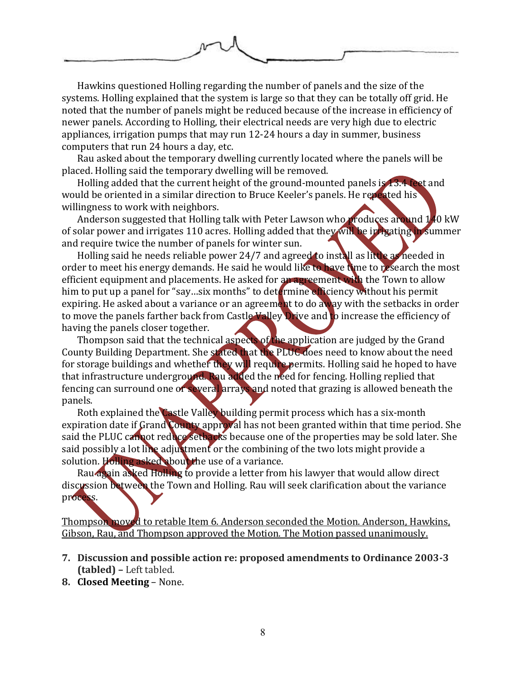

Hawkins questioned Holling regarding the number of panels and the size of the systems. Holling explained that the system is large so that they can be totally off grid. He noted that the number of panels might be reduced because of the increase in efficiency of newer panels. According to Holling, their electrical needs are very high due to electric appliances, irrigation pumps that may run 12-24 hours a day in summer, business computers that run 24 hours a day, etc.

Rau asked about the temporary dwelling currently located where the panels will be placed. Holling said the temporary dwelling will be removed.

Holling added that the current height of the ground-mounted panels is 13.4 feet and would be oriented in a similar direction to Bruce Keeler's panels. He repeated his willingness to work with neighbors.

Anderson suggested that Holling talk with Peter Lawson who produces around 140 kW of solar power and irrigates 110 acres. Holling added that they will be irrigating in summer and require twice the number of panels for winter sun.

Holling said he needs reliable power 24/7 and agreed to install as little as needed in order to meet his energy demands. He said he would like to have time to research the most efficient equipment and placements. He asked for an agreement with the Town to allow him to put up a panel for "say...six months" to determine efficiency without his permit expiring. He asked about a variance or an agreement to do away with the setbacks in order to move the panels farther back from Castle Valley Drive and to increase the efficiency of having the panels closer together.

Thompson said that the technical aspects of the application are judged by the Grand County Building Department. She stated that the PLUC does need to know about the need for storage buildings and whether they will require permits. Holling said he hoped to have that infrastructure underground. Rau added the need for fencing. Holling replied that fencing can surround one or several arrays and noted that grazing is allowed beneath the panels.

Roth explained the Castle Valley building permit process which has a six-month expiration date if Grand County approval has not been granted within that time period. She said the PLUC cannot reduce setbacks because one of the properties may be sold later. She said possibly a lot line adjustment or the combining of the two lots might provide a solution. Holling asked about the use of a variance.

Rau again asked Holling to provide a letter from his lawyer that would allow direct discussion between the Town and Holling. Rau will seek clarification about the variance process.

Thompson moved to retable Item 6. Anderson seconded the Motion. Anderson, Hawkins, Gibson, Rau, and Thompson approved the Motion. The Motion passed unanimously.

- **7. Discussion and possible action re: proposed amendments to Ordinance 2003-3 (tabled) –** Left tabled.
- **8. Closed Meeting** None.